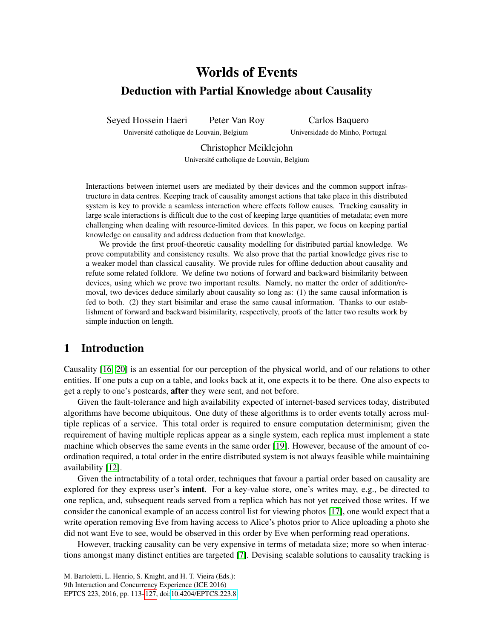# Worlds of Events Deduction with Partial Knowledge about Causality

Seyed Hossein Haeri Peter Van Roy

Université catholique de Louvain, Belgium

Carlos Baquero Universidade do Minho, Portugal

Christopher Meiklejohn

Universite catholique de Louvain, Belgium ´

Interactions between internet users are mediated by their devices and the common support infrastructure in data centres. Keeping track of causality amongst actions that take place in this distributed system is key to provide a seamless interaction where effects follow causes. Tracking causality in large scale interactions is difficult due to the cost of keeping large quantities of metadata; even more challenging when dealing with resource-limited devices. In this paper, we focus on keeping partial knowledge on causality and address deduction from that knowledge.

We provide the first proof-theoretic causality modelling for distributed partial knowledge. We prove computability and consistency results. We also prove that the partial knowledge gives rise to a weaker model than classical causality. We provide rules for offline deduction about causality and refute some related folklore. We define two notions of forward and backward bisimilarity between devices, using which we prove two important results. Namely, no matter the order of addition/removal, two devices deduce similarly about causality so long as: (1) the same causal information is fed to both. (2) they start bisimilar and erase the same causal information. Thanks to our establishment of forward and backward bisimilarity, respectively, proofs of the latter two results work by simple induction on length.

## 1 Introduction

Causality [\[16,](#page-14-1) [20\]](#page-14-2) is an essential for our perception of the physical world, and of our relations to other entities. If one puts a cup on a table, and looks back at it, one expects it to be there. One also expects to get a reply to one's postcards, after they were sent, and not before.

Given the fault-tolerance and high availability expected of internet-based services today, distributed algorithms have become ubiquitous. One duty of these algorithms is to order events totally across multiple replicas of a service. This total order is required to ensure computation determinism; given the requirement of having multiple replicas appear as a single system, each replica must implement a state machine which observes the same events in the same order [\[19\]](#page-14-3). However, because of the amount of coordination required, a total order in the entire distributed system is not always feasible while maintaining availability [\[12\]](#page-14-4).

Given the intractability of a total order, techniques that favour a partial order based on causality are explored for they express user's **intent**. For a key-value store, one's writes may, e.g., be directed to one replica, and, subsequent reads served from a replica which has not yet received those writes. If we consider the canonical example of an access control list for viewing photos [\[17\]](#page-14-5), one would expect that a write operation removing Eve from having access to Alice's photos prior to Alice uploading a photo she did not want Eve to see, would be observed in this order by Eve when performing read operations.

However, tracking causality can be very expensive in terms of metadata size; more so when interactions amongst many distinct entities are targeted [\[7\]](#page-14-6). Devising scalable solutions to causality tracking is

M. Bartoletti, L. Henrio, S. Knight, and H. T. Vieira (Eds.): 9th Interaction and Concurrency Experience (ICE 2016) EPTCS 223, 2016, pp. 113[–127,](#page-14-0) doi[:10.4204/EPTCS.223.8](http://dx.doi.org/10.4204/EPTCS.223.8)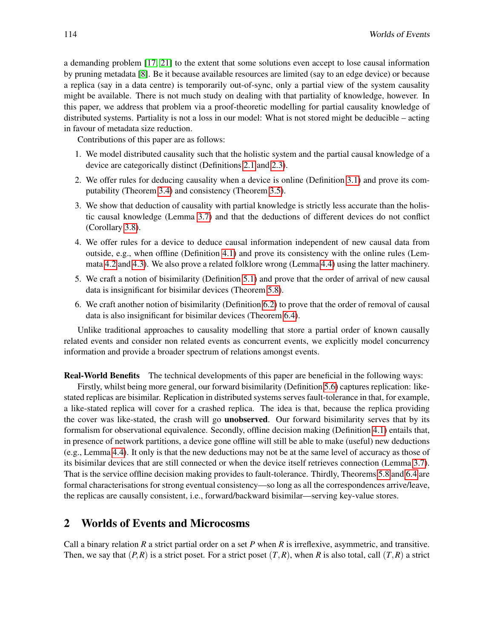a demanding problem [\[17,](#page-14-5) [21\]](#page-14-7) to the extent that some solutions even accept to lose causal information by pruning metadata [\[8\]](#page-14-8). Be it because available resources are limited (say to an edge device) or because a replica (say in a data centre) is temporarily out-of-sync, only a partial view of the system causality might be available. There is not much study on dealing with that partiality of knowledge, however. In this paper, we address that problem via a proof-theoretic modelling for partial causality knowledge of distributed systems. Partiality is not a loss in our model: What is not stored might be deducible – acting in favour of metadata size reduction.

Contributions of this paper are as follows:

- 1. We model distributed causality such that the holistic system and the partial causal knowledge of a device are categorically distinct (Definitions [2.1](#page-2-0) and [2.3\)](#page-2-1).
- 2. We offer rules for deducing causality when a device is online (Definition [3.1\)](#page-4-0) and prove its computability (Theorem [3.4\)](#page-6-0) and consistency (Theorem [3.5\)](#page-6-1).
- 3. We show that deduction of causality with partial knowledge is strictly less accurate than the holistic causal knowledge (Lemma [3.7\)](#page-7-0) and that the deductions of different devices do not conflict (Corollary [3.8\)](#page-7-1).
- 4. We offer rules for a device to deduce causal information independent of new causal data from outside, e.g., when offline (Definition [4.1\)](#page-8-0) and prove its consistency with the online rules (Lemmata [4.2](#page-8-1) and [4.3\)](#page-9-0). We also prove a related folklore wrong (Lemma [4.4\)](#page-9-1) using the latter machinery.
- 5. We craft a notion of bisimilarity (Definition [5.1\)](#page-9-2) and prove that the order of arrival of new causal data is insignificant for bisimilar devices (Theorem [5.8\)](#page-11-0).
- 6. We craft another notion of bisimilarity (Definition [6.2\)](#page-12-0) to prove that the order of removal of causal data is also insignificant for bisimilar devices (Theorem [6.4\)](#page-12-1).

Unlike traditional approaches to causality modelling that store a partial order of known causally related events and consider non related events as concurrent events, we explicitly model concurrency information and provide a broader spectrum of relations amongst events.

Real-World Benefits The technical developments of this paper are beneficial in the following ways:

Firstly, whilst being more general, our forward bisimilarity (Definition [5.6\)](#page-10-0) captures replication: likestated replicas are bisimilar. Replication in distributed systems serves fault-tolerance in that, for example, a like-stated replica will cover for a crashed replica. The idea is that, because the replica providing the cover was like-stated, the crash will go unobserved. Our forward bisimilarity serves that by its formalism for observational equivalence. Secondly, offline decision making (Definition [4.1\)](#page-8-0) entails that, in presence of network partitions, a device gone offline will still be able to make (useful) new deductions (e.g., Lemma [4.4\)](#page-9-1). It only is that the new deductions may not be at the same level of accuracy as those of its bisimilar devices that are still connected or when the device itself retrieves connection (Lemma [3.7\)](#page-7-0). That is the service offline decision making provides to fault-tolerance. Thirdly, Theorems [5.8](#page-11-0) and [6.4](#page-12-1) are formal characterisations for strong eventual consistency—so long as all the correspondences arrive/leave, the replicas are causally consistent, i.e., forward/backward bisimilar—serving key-value stores.

## 2 Worlds of Events and Microcosms

Call a binary relation *R* a strict partial order on a set *P* when *R* is irreflexive, asymmetric, and transitive. Then, we say that  $(P, R)$  is a strict poset. For a strict poset  $(T, R)$ , when *R* is also total, call  $(T, R)$  a strict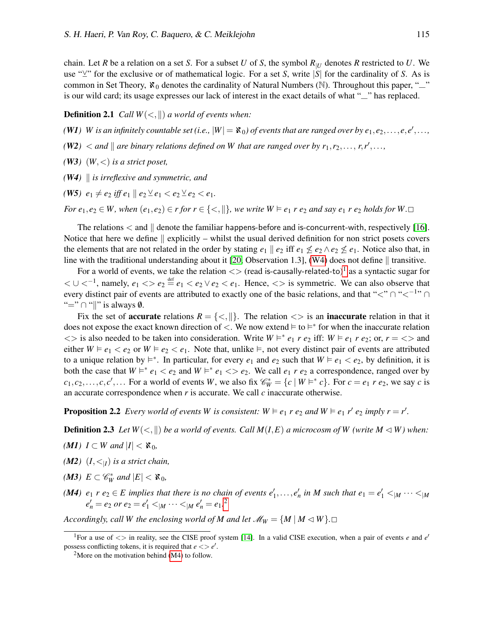chain. Let *R* be a relation on a set *S*. For a subset *U* of *S*, the symbol  $R_{|U|}$  denotes *R* restricted to *U*. We use " $\vee$ " for the exclusive or of mathematical logic. For a set *S*, write |*S*| for the cardinality of *S*. As is common in Set Theory,  $\mathbf{x}_0$  denotes the cardinality of Natural Numbers (N). Throughout this paper, " is our wild card; its usage expresses our lack of interest in the exact details of what "—" has replaced.

<span id="page-2-0"></span>**Definition 2.1** *Call*  $W(<, ||)$  *a world of events when:* 

*(W1) W* is an infinitely countable set (i.e.,  $|W| = \aleph_0$ ) of events that are ranged over by  $e_1, e_2, \ldots, e, e', \ldots$ ,

 $(W2)$   $\lt$  *and*  $\parallel$  *are binary relations defined on W* that are ranged over by  $r_1, r_2, \ldots, r, r', \ldots$ ,

*(W3)*  $(W, \leq)$  *is a strict poset,* 

<span id="page-2-2"></span> $(W4)$  *is irreflexive and symmetric, and* 

<span id="page-2-6"></span>*(W5)*  $e_1 \neq e_2$  *iff*  $e_1 \parallel e_2 \vee e_1 < e_2 \vee e_2 < e_1$ .

*For*  $e_1, e_2 \in W$ , when  $(e_1, e_2) \in r$  *for*  $r \in \{<, \parallel\}$ , we write  $W \models e_1 r e_2$  *and say*  $e_1 r e_2$  *holds for*  $W \Box$ 

The relations  $\lt$  and  $\parallel$  denote the familiar happens-before and is-concurrent-with, respectively [\[16\]](#page-14-1). Notice that here we define  $\parallel$  explicitly – whilst the usual derived definition for non strict posets covers the elements that are not related in the order by stating  $e_1 \parallel e_2$  iff  $e_1 \nleq e_2 \wedge e_2 \nleq e_1$ . Notice also that, in line with the traditional understanding about it [\[20,](#page-14-2) Observation 1.3], [\(W4\)](#page-2-2) does not define  $\parallel$  transitive.

For a world of events, we take the relation  $\langle \rangle$  (read is-causally-related-to)<sup>[1](#page-2-3)</sup> as a syntactic sugar for  $0 < U <^{-1}$ , namely,  $e_1 < e_2 \le e_1 < e_2 \vee e_2 < e_1$ . Hence,  $\lt$  is symmetric. We can also observe that every distinct pair of events are attributed to exactly one of the basic relations, and that "<"  $\cap$  "< $^{-1}$ "  $\cap$ "="  $\cap$  "||" is always  $\emptyset$ .

Fix the set of **accurate** relations  $R = \{ \leq, \| \}$ . The relation  $\leq \geq$  is an **inaccurate** relation in that it does not expose the exact known direction of  $\lt$ . We now extend  $\models$  to  $\models^*$  for when the inaccurate relation  $\langle \rangle$  is also needed to be taken into consideration. Write  $W \models^* e_1 r e_2$  iff:  $W \models e_1 r e_2$ ; or,  $r = \langle \rangle$  and either  $W \models e_1 \lt e_2$  or  $W \models e_2 \lt e_1$ . Note that, unlike  $\models$ , not every distinct pair of events are attributed to a unique relation by  $\models^*$ . In particular, for every  $e_1$  and  $e_2$  such that  $W \models e_1 \lt e_2$ , by definition, it is both the case that  $W \models^* e_1 < e_2$  and  $W \models^* e_1 < e_2$ . We call  $e_1 \rvert e_2$  a correspondence, ranged over by  $c_1, c_2, \ldots, c, c', \ldots$  For a world of events *W*, we also fix  $\mathscr{C}_W^* = \{c \mid W \models^* c\}$ . For  $c = e_1 r e_2$ , we say *c* is an accurate correspondence when  $r$  is accurate. We call  $c$  inaccurate otherwise.

**Proposition 2.2** *Every world of events W is consistent:*  $W \models e_1 r e_2$  *and*  $W \models e_1 r' e_2$  *imply*  $r = r'$ *.* 

<span id="page-2-1"></span>**Definition 2.3** Let  $W(\leq, \|)$  be a world of events. Call  $M(I, E)$  a microcosm of W (write  $M \triangleleft W$ ) when:

- *(M1) I* ⊂ *W* and  $|I|$  <  $\mathcal{R}_0$ *,*
- *(M2)*  $(I, \lt_{|I})$  *is a strict chain,*
- $(M3)$   $E \subset \mathcal{C}_W^*$  and  $|E| < \aleph_0$ ,
- <span id="page-2-5"></span>*(M4)*  $e_1$   $r$   $e_2 \in E$  implies that there is no chain of events  $e'_1, \ldots, e'_n$  in M such that  $e_1 = e'_1 <_{|M} \cdots <_{|M|}$  $e'_{n} = e_{2}$  $e'_{n} = e_{2}$  $e'_{n} = e_{2}$  *or*  $e_{2} = e'_{1} < |M \cdots < |M \cdot e'_{n} = e_{1}.^{2}$

*Accordingly, call W the enclosing world of M and let*  $\mathcal{M}_W = \{M \mid M \lhd W\}$ .

<span id="page-2-3"></span><sup>&</sup>lt;sup>1</sup>For a use of  $\langle \rangle$  in reality, see the CISE proof system [\[14\]](#page-14-9). In a valid CISE execution, when a pair of events *e* and *e'* possess conflicting tokens, it is required that  $e \ll e'$ .

<span id="page-2-4"></span><sup>&</sup>lt;sup>2</sup>More on the motivation behind  $(M4)$  to follow.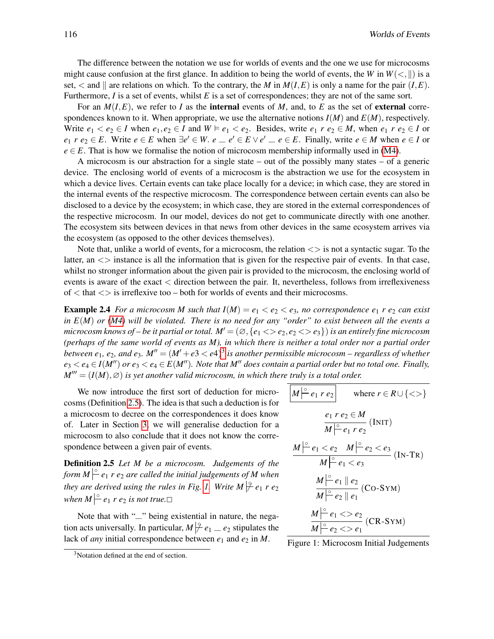The difference between the notation we use for worlds of events and the one we use for microcosms might cause confusion at the first glance. In addition to being the world of events, the *W* in  $W(\langle, \rangle)$  is a set,  $\lt$  and  $\parallel$  are relations on which. To the contrary, the *M* in  $M(I, E)$  is only a name for the pair  $(I, E)$ . Furthermore, *I* is a set of events, whilst *E* is a set of correspondences; they are not of the same sort.

For an  $M(I, E)$ , we refer to *I* as the internal events of *M*, and, to *E* as the set of external correspondences known to it. When appropriate, we use the alternative notions  $I(M)$  and  $E(M)$ , respectively. Write  $e_1 < e_2 \in I$  when  $e_1, e_2 \in I$  and  $W \models e_1 < e_2$ . Besides, write  $e_1 \, r \, e_2 \in M$ , when  $e_1 \, r \, e_2 \in I$  or  $e_1$  *r*  $e_2 \in E$ . Write  $e \in E$  when  $\exists e' \in W$ .  $e \subseteq e' \in E \vee e' \subseteq e \in E$ . Finally, write  $e \in M$  when  $e \in I$  or  $e \in E$ . That is how we formalise the notion of microcosm membership informally used in [\(M4\)](#page-2-5).

A microcosm is our abstraction for a single state – out of the possibly many states – of a generic device. The enclosing world of events of a microcosm is the abstraction we use for the ecosystem in which a device lives. Certain events can take place locally for a device; in which case, they are stored in the internal events of the respective microcosm. The correspondence between certain events can also be disclosed to a device by the ecosystem; in which case, they are stored in the external correspondences of the respective microcosm. In our model, devices do not get to communicate directly with one another. The ecosystem sits between devices in that news from other devices in the same ecosystem arrives via the ecosystem (as opposed to the other devices themselves).

Note that, unlike a world of events, for a microcosm, the relation  $\langle \rangle$  is not a syntactic sugar. To the latter, an  $\langle \rangle$  instance is all the information that is given for the respective pair of events. In that case, whilst no stronger information about the given pair is provided to the microcosm, the enclosing world of events is aware of the exact < direction between the pair. It, nevertheless, follows from irreflexiveness of  $\lt$  that  $\lt$  is irreflexive too – both for worlds of events and their microcosms.

**Example 2.4** *For a microcosm M such that*  $I(M) = e_1 < e_2 < e_3$ *, no correspondence*  $e_1$  *r*  $e_2$  *can exist in E*(*M*) *or [\(M4\)](#page-2-5) will be violated. There is no need for any "order" to exist between all the events a microcosm knows of – be it partial or total.*  $M' = (\emptyset, \{e_1 \leq e_2, e_2 \leq e_3\})$  *is an entirely fine microcosm (perhaps of the same world of events as M), in which there is neither a total order nor a partial order* between  $e_1$ ,  $e_2$ , and  $e_3$  $e_3$ .  $M'' = (M'+e3 < e4)^3$  is another permissible microcosm – regardless of whether  $e_3 < e_4 \in I(M'')$  or  $e_3 < e_4 \in E(M'')$ . Note that M'' does contain a partial order but no total one. Finally,  $M''' = (I(M), \varnothing)$  *is yet another valid microcosm, in which there truly is a total order.* 

We now introduce the first sort of deduction for microcosms (Definition [2.5\)](#page-3-1). The idea is that such a deduction is for a microcosm to decree on the correspondences it does know of. Later in Section [3,](#page-4-1) we will generalise deduction for a microcosm to also conclude that it does not know the correspondence between a given pair of events.

<span id="page-3-1"></span>Definition 2.5 *Let M be a microcosm. Judgements of the* form  $M \Big| \Big|^{\circ}$  e<sub>1</sub>  $r$  e<sub>2</sub> are called the initial judgements of M when *they are derived using the rules in Fig. [1.](#page-3-2) Write M*  $\left| \frac{9}{7}e_1 r e_2 \right|$ *when*  $M \vert^{\circ} e_1$  *r*  $e_2$  *is not true.* 

Note that with "—" being existential in nature, the negation acts universally. In particular,  $M \not\stackrel{\circ}{\leftarrow} e_1 \equiv e_2$  stipulates the lack of *any* initial correspondence between  $e_1$  and  $e_2$  in *M*.

<span id="page-3-2"></span>
$$
\boxed{M \stackrel{\circ}{\left| e_1 \ r e_2 \right|} \quad \text{where } r \in R \cup \{ \text{>} \}
$$
\n
$$
\frac{e_1 \ r e_2 \in M}{M \stackrel{\circ}{\left| e_1 \ r e_2 \right.}} \text{ (INIT)}
$$
\n
$$
\frac{M \stackrel{\circ}{\left| e_1 \right|} e_1 < e_2 \quad M \stackrel{\circ}{\left| e_2 \right|} e_2 < e_3}{M \stackrel{\circ}{\left| e_1 \right|} e_2 \quad \text{(IN-TR)}}
$$
\n
$$
\frac{M \stackrel{\circ}{\left| e_1 \right|} e_2}{M \stackrel{\circ}{\left| e_2 \right|} e_1} \text{ (Co-SYM)}
$$
\n
$$
\frac{M \stackrel{\circ}{\left| e_1 \right|} e_2 < e_2}{M \stackrel{\circ}{\left| e_2 \right|} e_2 < e_1} \text{ (CR-SYM)}
$$

Figure 1: Microcosm Initial Judgements

<span id="page-3-0"></span><sup>&</sup>lt;sup>3</sup>Notation defined at the end of section.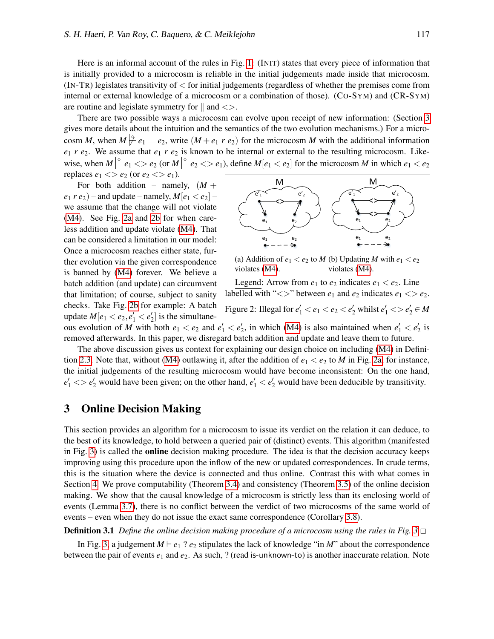Here is an informal account of the rules in Fig. [1:](#page-3-2) (INIT) states that every piece of information that is initially provided to a microcosm is reliable in the initial judgements made inside that microcosm. (IN-TR) legislates transitivity of < for initial judgements (regardless of whether the premises come from internal or external knowledge of a microcosm or a combination of those). (CO-SYM) and (CR-SYM) are routine and legislate symmetry for  $\parallel$  and  $\lt$ .

There are two possible ways a microcosm can evolve upon receipt of new information: (Section [3](#page-4-1) gives more details about the intuition and the semantics of the two evolution mechanisms.) For a microcosm *M*, when  $M \neq e_1 = e_2$ , write  $(M + e_1 r e_2)$  for the microcosm *M* with the additional information  $e_1$  *r*  $e_2$ . We assume that  $e_1$  *r*  $e_2$  is known to be internal or external to the resulting microcosm. Likewise, when  $M \rvert^{\circ} e_1 \ll e_2$  (or  $M \rvert^{\circ} e_2 \ll e_1$ ), define  $M[e_1 \lt e_2]$  for the microcosm *M* in which  $e_1 \lt e_2$ replaces  $e_1 \ll e_2$  (or  $e_2 \ll e_1$ ).

For both addition – namely,  $(M +$  $(e_1 r e_2)$  – and update – namely,  $M[e_1 \lt e_2]$  – we assume that the change will not violate [\(M4\)](#page-2-5). See Fig. [2a](#page-4-2) and [2b](#page-4-2) for when careless addition and update violate [\(M4\)](#page-2-5). That can be considered a limitation in our model: Once a microcosm reaches either state, further evolution via the given correspondence is banned by [\(M4\)](#page-2-5) forever. We believe a batch addition (and update) can circumvent that limitation; of course, subject to sanity checks. Take Fig. [2b](#page-4-2) for example: A batch update  $M[e_1 < e_2, e'_1 < e'_2]$  is the simultane-

<span id="page-4-2"></span>

(a) Addition of  $e_1 < e_2$  to  $M$  (b) Updating  $M$  with  $e_1 < e_2$ violates [\(M4\)](#page-2-5). violates [\(M4\)](#page-2-5).

Legend: Arrow from  $e_1$  to  $e_2$  indicates  $e_1 < e_2$ . Line labelled with "<>" between  $e_1$  and  $e_2$  indicates  $e_1$  <>  $e_2$ . Figure 2: Illegal for  $e'_1 < e_1 < e_2 < e'_2$  whilst  $e'_1 < e'_2 \in M$ 

ous evolution of *M* with both  $e_1 < e_2$  and  $e'_1 < e'_2$ , in which [\(M4\)](#page-2-5) is also maintained when  $e'_1 < e'_2$  is removed afterwards. In this paper, we disregard batch addition and update and leave them to future.

The above discussion gives us context for explaining our design choice on including [\(M4\)](#page-2-5) in Defini-tion [2.3.](#page-2-1) Note that, without [\(M4\)](#page-2-5) outlawing it, after the addition of  $e_1 < e_2$  to *M* in Fig. [2a,](#page-4-2) for instance, the initial judgements of the resulting microcosm would have become inconsistent: On the one hand,  $e'_1$   $\lt$   $\gt$   $e'_2$  would have been given; on the other hand,  $e'_1$   $\lt$   $e'_2$  would have been deducible by transitivity.

## <span id="page-4-1"></span>3 Online Decision Making

This section provides an algorithm for a microcosm to issue its verdict on the relation it can deduce, to the best of its knowledge, to hold between a queried pair of (distinct) events. This algorithm (manifested in Fig. [3\)](#page-5-0) is called the online decision making procedure. The idea is that the decision accuracy keeps improving using this procedure upon the inflow of the new or updated correspondences. In crude terms, this is the situation where the device is connected and thus online. Contrast this with what comes in Section [4.](#page-7-2) We prove computability (Theorem [3.4\)](#page-6-0) and consistency (Theorem [3.5\)](#page-6-1) of the online decision making. We show that the causal knowledge of a microcosm is strictly less than its enclosing world of events (Lemma [3.7\)](#page-7-0), there is no conflict between the verdict of two microcosms of the same world of events – even when they do not issue the exact same correspondence (Corollary [3.8\)](#page-7-1).

<span id="page-4-0"></span>Definition 3.1 *Define the online decision making procedure of a microcosm using the rules in Fig. [3.](#page-5-0)*<sup>2</sup>

In Fig. [3,](#page-5-0) a judgement  $M \vdash e_1$  ?  $e_2$  stipulates the lack of knowledge "in *M*" about the correspondence between the pair of events *e*<sup>1</sup> and *e*2. As such, ? (read is-unknown-to) is another inaccurate relation. Note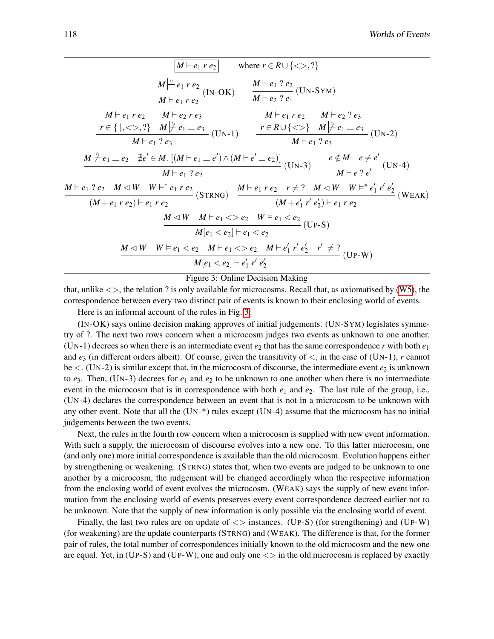<span id="page-5-0"></span>
$$
\boxed{M \vdash e_1 \, r \, e_2} \quad \text{where } r \in R \cup \{ <> . ?\}
$$
\n
$$
\frac{M \mid^{c} e_1 \, r \, e_2}{M \vdash e_1 \, r \, e_2} \quad (IN-OK) \quad \frac{M \vdash e_1 \, ? \, e_2}{M \vdash e_2 \, ? \, e_1} \quad (UN-SYM)
$$
\n
$$
M \vdash e_1 \, r \, e_2 \quad M \vdash e_2 \, r \, e_3 \quad M \vdash e_1 \, r \, e_2 \quad M \vdash e_2 \, ? \, e_1
$$
\n
$$
r \in \{ \parallel, <> . ?\} \quad M \mid^{c} e_1 \, e_2 \quad (UN-1) \quad r \in R \cup \{ <> \} \quad M \mid^{c} e_1 \, e_2 \quad (UN-2)
$$
\n
$$
M \vdash e_1 \, ? \, e_3 \quad (UN \vdash e_1 \, e_2 \, R) \quad (UN \vdash e_1 \, ? \, e_3 \quad (UN \vdash e_1 \, ? \, e_3 \quad (UN \vdash e_1 \, ? \, e_3 \quad (UN \vdash e_1 \, ? \, e_3 \quad (UN \vdash e_1 \, ? \, e_2 \quad (UN \vdash e_1 \, ? \, e_2 \quad (UN \vdash e_1 \, ? \, e_2 \quad (UN \vdash e_1 \, ? \, e_2 \quad (UN \vdash e_1 \, ? \, e_2 \quad (UN \vdash e_1 \, ? \, e_2 \quad (UN \vdash e_1 \, ? \, e_2 \quad (UN \vdash e_1 \, ? \, e_2 \quad (UN \vdash e_1 \, ? \, e_2 \quad (UN \vdash e_1 \, ? \, e_2 \quad (UN \vdash e_1 \, ? \, e_2 \quad (UN \vdash e_1 \, ? \, e_2 \quad (UN \vdash e_1 \, ? \, e_2 \quad (UN \vdash e_1 \, ? \, e_2 \quad (UN \vdash e_1 \, ? \, e_2 \quad (UN \vdash e_1 \, ? \, e_2 \quad (UN \vdash e_1 \, ? \, e_2 \quad (UN \vdash e_1 \, ? \, e_2 \quad (UN \vdash e_1 \, ? \, e_
$$

Figure 3: Online Decision Making

that, unlike  $\langle \rangle$ , the relation ? is only available for microcosms. Recall that, as axiomatised by [\(W5\)](#page-2-6), the correspondence between every two distinct pair of events is known to their enclosing world of events.

Here is an informal account of the rules in Fig. [3:](#page-5-0)

(IN-OK) says online decision making approves of initial judgements. (UN-SYM) legislates symmetry of ?. The next two rows concern when a microcosm judges two events as unknown to one another. (UN-1) decrees so when there is an intermediate event  $e_2$  that has the same correspondence *r* with both  $e_1$ and  $e_3$  (in different orders albeit). Of course, given the transitivity of  $\lt$ , in the case of (UN-1), *r* cannot be  $\lt$ . (UN-2) is similar except that, in the microcosm of discourse, the intermediate event  $e_2$  is unknown to  $e_3$ . Then, (UN-3) decrees for  $e_1$  and  $e_2$  to be unknown to one another when there is no intermediate event in the microcosm that is in correspondence with both  $e_1$  and  $e_2$ . The last rule of the group, i.e., (UN-4) declares the correspondence between an event that is not in a microcosm to be unknown with any other event. Note that all the  $(UN<sup>*</sup>)$  rules except  $(UN<sup>-4</sup>)$  assume that the microcosm has no initial judgements between the two events.

Next, the rules in the fourth row concern when a microcosm is supplied with new event information. With such a supply, the microcosm of discourse evolves into a new one. To this latter microcosm, one (and only one) more initial correspondence is available than the old microcosm. Evolution happens either by strengthening or weakening. (STRNG) states that, when two events are judged to be unknown to one another by a microcosm, the judgement will be changed accordingly when the respective information from the enclosing world of event evolves the microcosm. (WEAK) says the supply of new event information from the enclosing world of events preserves every event correspondence decreed earlier not to be unknown. Note that the supply of new information is only possible via the enclosing world of event.

Finally, the last two rules are on update of  $\langle \rangle$  instances. (UP-S) (for strengthening) and (UP-W) (for weakening) are the update counterparts (STRNG) and (WEAK). The difference is that, for the former pair of rules, the total number of correspondences initially known to the old microcosm and the new one are equal. Yet, in  $(UP-S)$  and  $(UP-W)$ , one and only one  $\langle \rangle$  in the old microcosm is replaced by exactly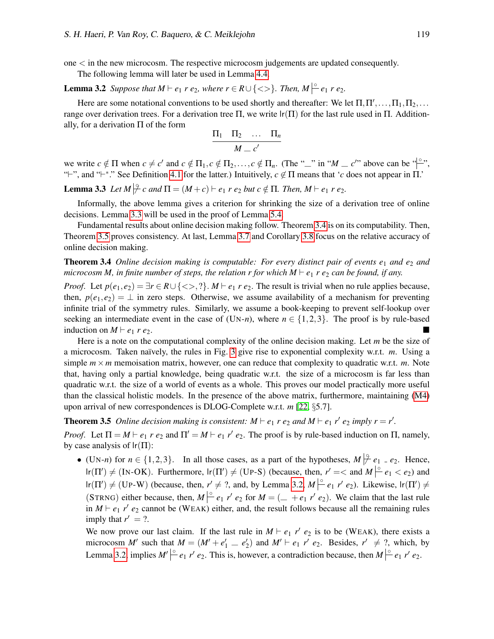one < in the new microcosm. The respective microcosm judgements are updated consequently.

The following lemma will later be used in Lemma [4.4.](#page-9-1)

<span id="page-6-3"></span>**Lemma 3.2** *Suppose that*  $M \vdash e_1$  *r*  $e_2$ *, where*  $r \in R \cup \{ \lt > \}$ *. Then,*  $M \mid \circ e_1$  *r*  $e_2$ *.* 

Here are some notational conventions to be used shortly and thereafter: We let  $\Pi$ ,  $\Pi'$ , ...,  $\Pi_1$ ,  $\Pi_2$ , ... range over derivation trees. For a derivation tree  $\Pi$ , we write  $\operatorname{lr}(\Pi)$  for the last rule used in  $\Pi$ . Additionally, for a derivation  $\Pi$  of the form

$$
\frac{\Pi_1 \quad \Pi_2 \quad \dots \quad \Pi_n}{M = c'}
$$

we write  $c \notin \Pi$  when  $c \neq c'$  and  $c \notin \Pi_1, c \notin \Pi_2, \ldots, c \notin \Pi_n$ . (The "—" in " $M = c'$ " above can be " $\stackrel{(c)}{\sim}$ ", "<sup>+</sup>", and "<sup>+</sup>\*." See Definition [4.1](#page-8-0) for the latter.) Intuitively,  $c \notin \Pi$  means that '*c* does not appear in  $\Pi$ .

<span id="page-6-2"></span>**Lemma 3.3** Let  $M \not\vert^{\varphi} c$  and  $\Pi = (M+c) \vdash e_1$   $r e_2$  but  $c \notin \Pi$ . Then,  $M \vdash e_1$   $r e_2$ .

Informally, the above lemma gives a criterion for shrinking the size of a derivation tree of online decisions. Lemma [3.3](#page-6-2) will be used in the proof of Lemma [5.4.](#page-10-1)

Fundamental results about online decision making follow. Theorem [3.4](#page-6-0) is on its computability. Then, Theorem [3.5](#page-6-1) proves consistency. At last, Lemma [3.7](#page-7-0) and Corollary [3.8](#page-7-1) focus on the relative accuracy of online decision making.

## <span id="page-6-0"></span>Theorem 3.4 *Online decision making is computable: For every distinct pair of events e<sub>1</sub> and e<sub>2</sub> and microcosm M, in finite number of steps, the relation r for which M*  $\vdash$  *e<sub>1</sub> <i>r e<sub>2</sub> can be found, if any.*

*Proof.* Let  $p(e_1, e_2) = \exists r \in R \cup \{ \langle \rangle, n \}$ . *M*  $\vdash e_1 r e_2$ . The result is trivial when no rule applies because, then,  $p(e_1, e_2) = \perp$  in zero steps. Otherwise, we assume availability of a mechanism for preventing infinite trial of the symmetry rules. Similarly, we assume a book-keeping to prevent self-lookup over seeking an intermediate event in the case of  $(UN-n)$ , where  $n \in \{1,2,3\}$ . The proof is by rule-based induction on  $M \vdash e_1 r e_2$ .

Here is a note on the computational complexity of the online decision making. Let *m* be the size of a microcosm. Taken naïvely, the rules in Fig. [3](#page-5-0) give rise to exponential complexity w.r.t. *m*. Using a simple  $m \times m$  memoisation matrix, however, one can reduce that complexity to quadratic w.r.t. *m*. Note that, having only a partial knowledge, being quadratic w.r.t. the size of a microcosm is far less than quadratic w.r.t. the size of a world of events as a whole. This proves our model practically more useful than the classical holistic models. In the presence of the above matrix, furthermore, maintaining [\(M4\)](#page-2-5) upon arrival of new correspondences is DLOG-Complete w.r.t. *m* [\[22,](#page-14-10) §5.7].

<span id="page-6-1"></span>**Theorem 3.5** Online decision making is consistent:  $M \vdash e_1 r e_2$  and  $M \vdash e_1 r' e_2$  imply  $r = r'$ .

*Proof.* Let  $\Pi = M \vdash e_1 \rvert e_2$  and  $\Pi' = M \vdash e_1 \rvert e_2$ . The proof is by rule-based induction on  $\Pi$ , namely, by case analysis of  $\text{lr}(\Pi)$ :

• (UN-*n*) for  $n \in \{1,2,3\}$ . In all those cases, as a part of the hypotheses,  $M \not\vert^{\mathfrak{D}} e_1 = e_2$ . Hence,  $\text{lr}(\Pi') \neq (\text{IN-OK})$ . Furthermore,  $\text{lr}(\Pi') \neq (\text{UP-S})$  (because, then,  $r' = <$  and  $M \mid^{\circ} e_1 < e_2$ ) and  $\text{lr}(\Pi') \neq (\text{Up-W})$  (because, then,  $r' \neq ?$ , and, by Lemma [3.2,](#page-6-3)  $M \stackrel{\circ}{\leftarrow} e_1 r' e_2$ ). Likewise,  $\text{lr}(\Pi') \neq$ (STRNG) either because, then,  $M \rvert^{\circ} e_1 r' e_2$  for  $M = ($  +  $e_1 r' e_2$ ). We claim that the last rule in  $M \vdash e_1$  *r'*  $e_2$  cannot be (WEAK) either, and, the result follows because all the remaining rules imply that  $r' = ?$ .

We now prove our last claim. If the last rule in  $M \vdash e_1 r' e_2$  is to be (WEAK), there exists a microcosm *M'* such that  $M = (M' + e'_1 \_ e'_2)$  and  $M' \vdash e_1$  *r'*  $e_2$ . Besides,  $r' \neq ?$ , which, by Lemma [3.2,](#page-6-3) implies  $M' \stackrel{\circ}{\leftarrow} e_1 r' e_2$ . This is, however, a contradiction because, then  $M \stackrel{\circ}{\leftarrow} e_1 r' e_2$ .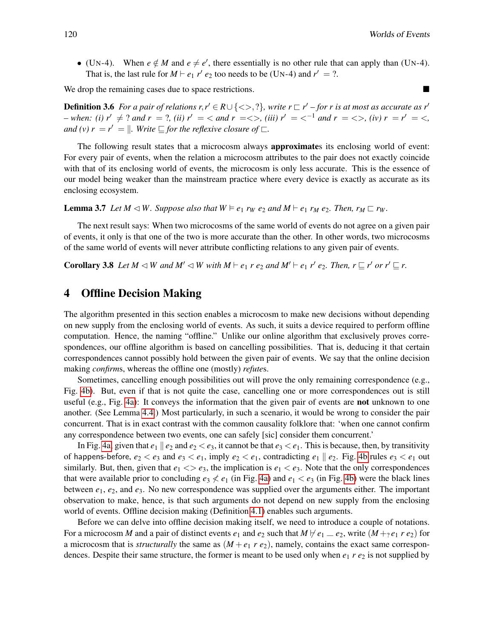• (UN-4). When  $e \notin M$  and  $e \neq e'$ , there essentially is no other rule that can apply than (UN-4). That is, the last rule for  $M \vdash e_1 r' e_2$  too needs to be (UN-4) and  $r' = ?$ .

We drop the remaining cases due to space restrictions.

**Definition 3.6** For a pair of relations  $r, r' \in R \cup \{ \langle \rangle, ? \}$ , write  $r \sqsubset r'$  – for r is at most as accurate as r' *– when:* (i)  $r' \neq ?$  and  $r = ?$ , (ii)  $r' = \langle$  and  $r = \langle \rangle$ , (iii)  $r' = \langle ^{-1}$  and  $r = \langle \rangle$ , (iv)  $r = r' = \langle$ , *and (v)*  $r = r' = ||$ *. Write*  $\sqsubseteq$  *for the reflexive closure of*  $\sqsubset$ *.* 

The following result states that a microcosm always **approximate**s its enclosing world of event: For every pair of events, when the relation a microcosm attributes to the pair does not exactly coincide with that of its enclosing world of events, the microcosm is only less accurate. This is the essence of our model being weaker than the mainstream practice where every device is exactly as accurate as its enclosing ecosystem.

<span id="page-7-0"></span>**Lemma 3.7** Let  $M \triangleleft W$ . Suppose also that  $W \models e_1$   $r_W \neq e_2$  and  $M \vdash e_1$   $r_M \neq e_2$ . Then,  $r_M \sqsubset r_W$ .

The next result says: When two microcosms of the same world of events do not agree on a given pair of events, it only is that one of the two is more accurate than the other. In other words, two microcosms of the same world of events will never attribute conflicting relations to any given pair of events.

<span id="page-7-1"></span>**Corollary 3.8** Let  $M \triangleleft W$  and  $M' \triangleleft W$  with  $M \vdash e_1$   $r \cdot e_2$  and  $M' \vdash e_1$   $r' \cdot e_2$ . Then,  $r \sqsubseteq r'$  or  $r' \sqsubseteq r$ .

## <span id="page-7-2"></span>4 Offline Decision Making

The algorithm presented in this section enables a microcosm to make new decisions without depending on new supply from the enclosing world of events. As such, it suits a device required to perform offline computation. Hence, the naming "offline." Unlike our online algorithm that exclusively proves correspondences, our offline algorithm is based on cancelling possibilities. That is, deducing it that certain correspondences cannot possibly hold between the given pair of events. We say that the online decision making *confirm*s, whereas the offline one (mostly) *refute*s.

Sometimes, cancelling enough possibilities out will prove the only remaining correspondence (e.g., Fig. [4b\)](#page-8-2). But, even if that is not quite the case, cancelling one or more correspondences out is still useful (e.g., Fig. [4a\)](#page-8-2): It conveys the information that the given pair of events are not unknown to one another. (See Lemma [4.4.](#page-9-1)) Most particularly, in such a scenario, it would be wrong to consider the pair concurrent. That is in exact contrast with the common causality folklore that: 'when one cannot confirm any correspondence between two events, one can safely [sic] consider them concurrent.'

In Fig. [4a,](#page-8-2) given that  $e_1 \parallel e_2$  and  $e_2 < e_3$ , it cannot be that  $e_3 < e_1$ . This is because, then, by transitivity of happens-before,  $e_2 < e_3$  and  $e_3 < e_1$ , imply  $e_2 < e_1$ , contradicting  $e_1 \parallel e_2$ . Fig. [4b](#page-8-2) rules  $e_3 < e_1$  out similarly. But, then, given that  $e_1 \ll e_3$ , the implication is  $e_1 \ll e_3$ . Note that the only correspondences that were available prior to concluding  $e_3 \nless e_1$  (in Fig. [4a\)](#page-8-2) and  $e_1 \nless e_3$  (in Fig. [4b\)](#page-8-2) were the black lines between *e*1, *e*2, and *e*3. No new correspondence was supplied over the arguments either. The important observation to make, hence, is that such arguments do not depend on new supply from the enclosing world of events. Offline decision making (Definition [4.1\)](#page-8-0) enables such arguments.

Before we can delve into offline decision making itself, we need to introduce a couple of notations. For a microcosm *M* and a pair of distinct events  $e_1$  and  $e_2$  such that  $M \nvdash e_1 = e_2$ , write  $(M + e_1 r e_2)$  for a microcosm that is *structurally* the same as  $(M + e_1 r e_2)$ , namely, contains the exact same correspondences. Despite their same structure, the former is meant to be used only when  $e_1$  *r*  $e_2$  is not supplied by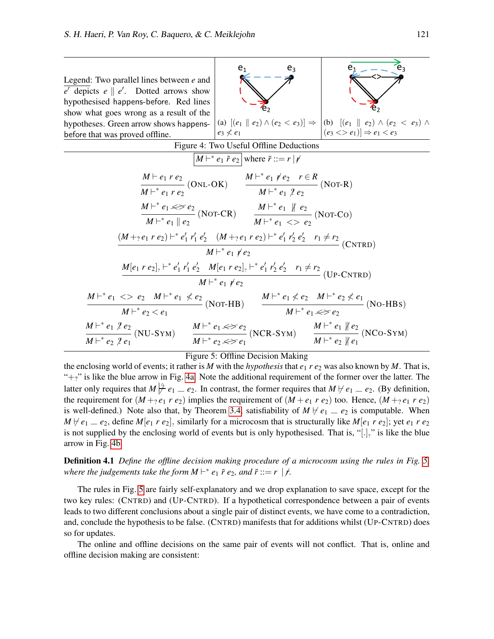<span id="page-8-3"></span><span id="page-8-2"></span>

#### Figure 5: Offline Decision Making

the enclosing world of events; it rather is *M* with the *hypothesis* that  $e_1$  *r*  $e_2$  was also known by *M*. That is, " $+$ ?" is like the blue arrow in Fig. [4a.](#page-8-2) Note the additional requirement of the former over the latter. The latter only requires that  $M \not\stackrel{\circ}{\neq} e_1 = e_2$ . In contrast, the former requires that  $M \not\vdash e_1 = e_2$ . (By definition, the requirement for  $(M + e_1 r e_2)$  implies the requirement of  $(M + e_1 r e_2)$  too. Hence,  $(M + e_1 r e_2)$ is well-defined.) Note also that, by Theorem [3.4,](#page-6-0) satisfiability of  $M \not\vdash e_1 \equiv e_2$  is computable. When  $M \not\vdash e_1 = e_2$ , define  $M[e_1 \ r \ e_2]$ , similarly for a microcosm that is structurally like  $M[e_1 \ r \ e_2]$ ; yet  $e_1 \ r \ e_2$ is not supplied by the enclosing world of events but is only hypothesised. That is, "[ $.]$ " is like the blue arrow in Fig. [4b.](#page-8-2)

<span id="page-8-0"></span>Definition 4.1 *Define the offline decision making procedure of a microcosm using the rules in Fig. [5,](#page-8-3)* where the judgements take the form  $M \vdash^* e_1 \tilde{r} e_2$ , and  $\tilde{r} ::= r \mid f$ .

The rules in Fig. [5](#page-8-3) are fairly self-explanatory and we drop explanation to save space, except for the two key rules: (CNTRD) and (UP-CNTRD). If a hypothetical correspondence between a pair of events leads to two different conclusions about a single pair of distinct events, we have come to a contradiction, and, conclude the hypothesis to be false. (CNTRD) manifests that for additions whilst (UP-CNTRD) does so for updates.

<span id="page-8-1"></span>The online and offline decisions on the same pair of events will not conflict. That is, online and offline decision making are consistent: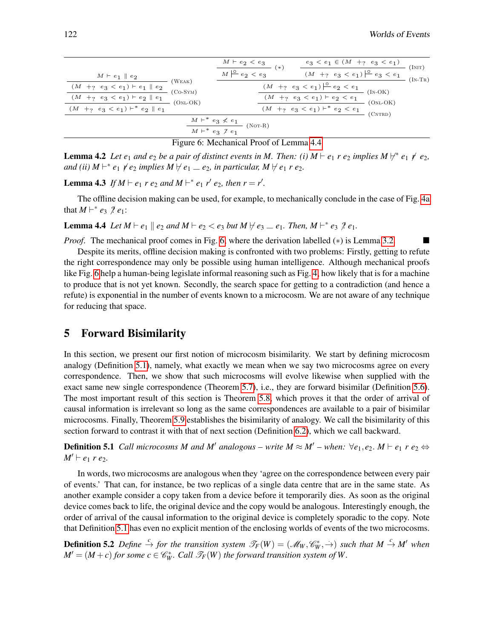<span id="page-9-3"></span>

|                                                       |                                                 | $M \vdash e_2 < e_3$<br>ิ∗<br>$M \stackrel{\circ}{\leftarrow} e_2 < e_3$ |  | $e_3 < e_1 \in (M +_? e_3 < e_1)$                                         |                                    | (Init)           |
|-------------------------------------------------------|-------------------------------------------------|--------------------------------------------------------------------------|--|---------------------------------------------------------------------------|------------------------------------|------------------|
| $M \vdash e_1 \parallel e_2$                          | (W <sub>EAK</sub> )<br>$(Co-SYM)$<br>$(ONL-OK)$ |                                                                          |  | $(M +_? \ e_3 < e_1) \stackrel{\circ}{\leftarrow} e_3 < e_1$              |                                    | $(\text{In-TR})$ |
| $(M\ \ +?\ \ e_3\ <\ e_1)\ \vdash e_1\ \parallel e_2$ |                                                 |                                                                          |  | $\underbrace{(M +_? \hspace{0.2cm} e_3 < e_1) \mid^{\circ} e_2} \leq e_1$ | $(IN-OK)$<br>$(ONL-OK)$<br>(CNTRD) |                  |
| $(M +_? e_3 < e_1) \vdash e_2 \parallel e_1$          |                                                 |                                                                          |  | $(M +_? e_3 < e_1) \vdash e_2 < e_1$                                      |                                    |                  |
| $(M +_? e_3 < e_1) \vdash^* e_2 \parallel e_1$        |                                                 |                                                                          |  | $(M +_? e_3 < e_1) \vdash^* e_2 < e_1$                                    |                                    |                  |
| $M\vdash^* e_3\not< e_1$<br>$(NOT-R)$                 |                                                 |                                                                          |  |                                                                           |                                    |                  |
|                                                       | $M \vdash^* e_3 \not\uparrow e_1$               |                                                                          |  |                                                                           |                                    |                  |

Figure 6: Mechanical Proof of Lemma [4.4](#page-9-1)

**Lemma 4.2** Let  $e_1$  and  $e_2$  be a pair of distinct events in M. Then: (i)  $M \vdash e_1$  r  $e_2$  implies  $M \not\vdash^* e_1 \not\vdash e_2$ , *and (ii)*  $M \vdash^* e_1 \neq e_2$  *implies*  $M \not \vdash e_1 \perp e_2$ *, in particular,*  $M \not \vdash e_1 r e_2$ *.* 

<span id="page-9-0"></span>**Lemma 4.3** If  $M \vdash e_1$  *r*  $e_2$  *and*  $M \vdash^* e_1$  *r'*  $e_2$ *, then*  $r = r'$ *.* 

The offline decision making can be used, for example, to mechanically conclude in the case of Fig. [4a](#page-8-2) that  $M \vdash^* e_3 \nmid e_1$ :

<span id="page-9-1"></span>**Lemma 4.4** Let  $M \vdash e_1 \parallel e_2$  and  $M \vdash e_2 < e_3$  but  $M \not \vdash e_3 = e_1$ . Then,  $M \vdash^* e_3 \not \vdash e_1$ .

*Proof.* The mechanical proof comes in Fig. [6,](#page-9-3) where the derivation labelled (\*) is Lemma [3.2.](#page-6-3) ■

Despite its merits, offline decision making is confronted with two problems: Firstly, getting to refute the right correspondence may only be possible using human intelligence. Although mechanical proofs like Fig. [6](#page-9-3) help a human-being legislate informal reasoning such as Fig. [4,](#page-8-2) how likely that is for a machine to produce that is not yet known. Secondly, the search space for getting to a contradiction (and hence a refute) is exponential in the number of events known to a microcosm. We are not aware of any technique for reducing that space.

## 5 Forward Bisimilarity

In this section, we present our first notion of microcosm bisimilarity. We start by defining microcosm analogy (Definition [5.1\)](#page-9-2), namely, what exactly we mean when we say two microcosms agree on every correspondence. Then, we show that such microcosms will evolve likewise when supplied with the exact same new single correspondence (Theorem [5.7\)](#page-11-1), i.e., they are forward bisimilar (Definition [5.6\)](#page-10-0). The most important result of this section is Theorem [5.8,](#page-11-0) which proves it that the order of arrival of causal information is irrelevant so long as the same correspondences are available to a pair of bisimilar microcosms. Finally, Theorem [5.9](#page-11-2) establishes the bisimilarity of analogy. We call the bisimilarity of this section forward to contrast it with that of next section (Definition [6.2\)](#page-12-0), which we call backward.

<span id="page-9-2"></span>**Definition 5.1** *Call microcosms M and M' analogous – write*  $M \approx M'$  *– when:*  $\forall e_1, e_2$ .  $M \vdash e_1$   $r \cdot e_2 \Leftrightarrow$  $M' \vdash e_1$  *r e*<sub>2</sub>.

In words, two microcosms are analogous when they 'agree on the correspondence between every pair of events.' That can, for instance, be two replicas of a single data centre that are in the same state. As another example consider a copy taken from a device before it temporarily dies. As soon as the original device comes back to life, the original device and the copy would be analogous. Interestingly enough, the order of arrival of the causal information to the original device is completely sporadic to the copy. Note that Definition [5.1](#page-9-2) has even no explicit mention of the enclosing worlds of events of the two microcosms.

<span id="page-9-4"></span>**Definition 5.2** Define  $\stackrel{c}{\to}$  for the transition system  $\mathscr{T}_F(W) = (\mathscr{M}_W, \mathscr{C}_W^*, \rightarrow)$  such that  $M \stackrel{c}{\to} M'$  when  $M' = (M + c)$  *for some*  $c \in \mathcal{C}_W^*$ *. Call*  $\mathcal{T}_F(W)$  *the forward transition system of* W.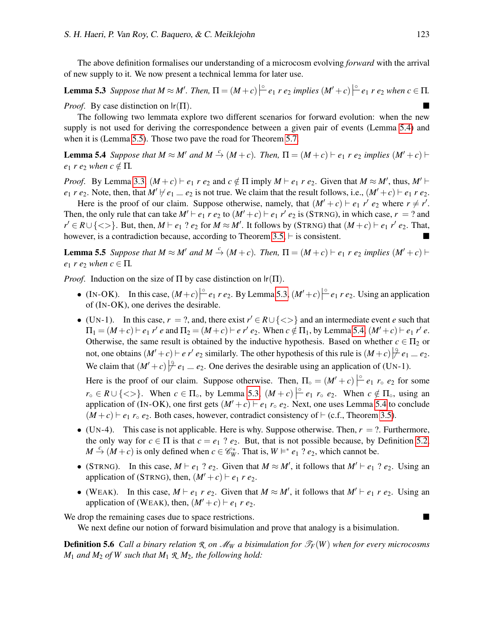The above definition formalises our understanding of a microcosm evolving *forward* with the arrival of new supply to it. We now present a technical lemma for later use.

<span id="page-10-3"></span>**Lemma 5.3** Suppose that  $M \approx M'$ . Then,  $\Pi = (M + c)|^{\circ} e_1 r e_2$  implies  $(M' + c)|^{\circ} e_1 r e_2$  when  $c \in \Pi$ . *Proof.* By case distinction on  $\text{lr}(\Pi)$ .

The following two lemmata explore two different scenarios for forward evolution: when the new supply is not used for deriving the correspondence between a given pair of events (Lemma [5.4\)](#page-10-1) and when it is (Lemma [5.5\)](#page-10-2). Those two pave the road for Theorem [5.7.](#page-11-1)

<span id="page-10-1"></span>**Lemma 5.4** Suppose that  $M \approx M'$  and  $M \stackrel{c}{\rightarrow} (M+c)$ . Then,  $\Pi = (M+c) \vdash e_1$  r  $e_2$  implies  $(M'+c) \vdash$ *e*<sub>1</sub> *r e*<sub>2</sub> *when*  $c \notin \Pi$ *.* 

*Proof.* By Lemma [3.3,](#page-6-2)  $(M + c) \vdash e_1 r e_2$  and  $c \notin \Pi$  imply  $M \vdash e_1 r e_2$ . Given that  $M \approx M'$ , thus,  $M' \vdash$  $e_1$  *r*  $e_2$ . Note, then, that  $M' \not\vdash e_1 = e_2$  is not true. We claim that the result follows, i.e.,  $(M' + c) \vdash e_1 r e_2$ .

Here is the proof of our claim. Suppose otherwise, namely, that  $(M' + c) \vdash e_1 r' e_2$  where  $r \neq r'$ . Then, the only rule that can take  $M' \vdash e_1 r e_2$  to  $(M' + c) \vdash e_1 r' e_2$  is (STRNG), in which case,  $r = ?$  and  $r' \in R \cup \{ \langle \rangle \}$ . But, then,  $M \vdash e_1 ? e_2$  for  $M \approx M'$ . It follows by (STRNG) that  $(M + c) \vdash e_1 r' e_2$ . That, however, is a contradiction because, according to Theorem [3.5,](#page-6-1)  $\vdash$  is consistent.

<span id="page-10-2"></span>**Lemma 5.5** Suppose that  $M \approx M'$  and  $M \stackrel{c}{\rightarrow} (M+c)$ . Then,  $\Pi = (M+c) \vdash e_1$  r  $e_2$  implies  $(M'+c) \vdash$ *e*<sub>1</sub> *r e*<sub>2</sub> *when*  $c \in \Pi$ *.* 

*Proof.* Induction on the size of  $\Pi$  by case distinction on  $\text{lr}(\Pi)$ .

- (IN-OK). In this case,  $(M+c)|^{\circ}e_1 r e_2$ . By Lemma [5.3,](#page-10-3)  $(M'+c)|^{\circ}e_1 r e_2$ . Using an application of (IN-OK), one derives the desirable.
- (UN-1). In this case,  $r = ?$ , and, there exist  $r' \in R \cup \{ \langle \rangle \}$  and an intermediate event *e* such that  $\Pi_1 = (M+c) \vdash e_1 \ r' e$  and  $\Pi_2 = (M+c) \vdash e \ r' e_2$ . When  $c \notin \Pi_1$ , by Lemma [5.4,](#page-10-1)  $(M'+c) \vdash e_1 \ r' e$ . Otherwise, the same result is obtained by the inductive hypothesis. Based on whether  $c \in \Pi_2$  or not, one obtains  $(M'+c) \vdash e \ r' \ e_2$  similarly. The other hypothesis of this rule is  $(M+c) \not\vert \frac{9}{7} e_1 = e_2$ . We claim that  $(M' + c) \not\stackrel{\circ}{\mid} e_1 = e_2$ . One derives the desirable using an application of (UN-1).

Here is the proof of our claim. Suppose otherwise. Then,  $\Pi_{\circ} = (M' + c) \left| \frac{\circ}{\cdot} e_1 r_{\circ} e_2 \right|$  for some  $r \circ \in R \cup \{ \leq \}$ . When  $c \in \Pi_{\circ}$ , by Lemma [5.3,](#page-10-3)  $(M + c) \Big|_{\infty}^{\infty} e_1$ ,  $r \circ e_2$ . When  $c \notin \Pi_{\circ}$ , using an application of (IN-OK), one first gets  $(M' + c) \vdash e_1 r \circ e_2$ . Next, one uses Lemma [5.4](#page-10-1) to conclude  $(M+c) \vdash e_1 r \circ e_2$ . Both cases, however, contradict consistency of  $\vdash$  (c.f., Theorem [3.5\)](#page-6-1).

- (UN-4). This case is not applicable. Here is why. Suppose otherwise. Then,  $r = ?$ . Furthermore, the only way for  $c \in \Pi$  is that  $c = e_1$  ?  $e_2$ . But, that is not possible because, by Definition [5.2,](#page-9-4)  $M \stackrel{c}{\rightarrow} (M + c)$  is only defined when  $c \in \mathcal{C}_W^*$ . That is,  $W \models^* e_1$  ?  $e_2$ , which cannot be.
- (STRNG). In this case,  $M \vdash e_1$  ?  $e_2$ . Given that  $M \approx M'$ , it follows that  $M' \vdash e_1$  ?  $e_2$ . Using an application of (STRNG), then,  $(M' + c) \vdash e_1 r e_2$ .
- (WEAK). In this case,  $M \vdash e_1 \ r \ e_2$ . Given that  $M \approx M'$ , it follows that  $M' \vdash e_1 \ r \ e_2$ . Using an application of (WEAK), then,  $(M' + c) \vdash e_1 r e_2$ .

We drop the remaining cases due to space restrictions.

We next define our notion of forward bisimulation and prove that analogy is a bisimulation.

<span id="page-10-0"></span>**Definition 5.6** *Call a binary relation R on M<sub>W</sub> a bisimulation for*  $\mathcal{F}_F(W)$  *when for every microcosms M*<sup>1</sup> *and M*<sup>2</sup> *of W such that M*<sup>1</sup> *R M*2*, the following hold:*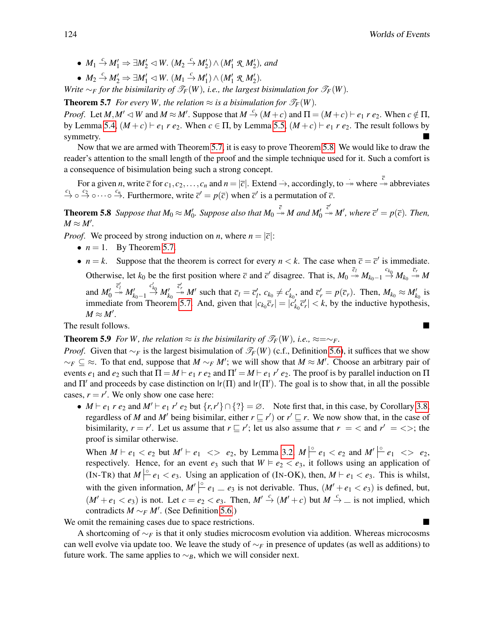- $M_1 \stackrel{c}{\rightarrow} M_1' \Rightarrow \exists M_2' \triangleleft W$ .  $(M_2 \stackrel{c}{\rightarrow} M_2') \wedge (M_1' \mathcal{R} M_2')$ , and
- $M_2 \xrightarrow{c} M'_2 \Rightarrow \exists M'_1 \triangleleft W$ .  $(M_1 \xrightarrow{c} M'_1) \wedge (M'_1 \mathcal{R} M'_2)$ .

*Write* ∼*F for the bisimilarity of*  $\mathcal{T}_F(W)$ *, i.e., the largest bisimulation for*  $\mathcal{T}_F(W)$ *.* 

<span id="page-11-1"></span>**Theorem 5.7** *For every W, the relation*  $\approx$  *is a bisimulation for*  $\mathcal{T}_F(W)$ *.* 

*Proof.* Let  $M, M' \lhd W$  and  $M \approx M'$ . Suppose that  $M \xrightarrow{c} (M + c)$  and  $\Pi = (M + c) \vdash e_1 r e_2$ . When  $c \notin \Pi$ , by Lemma [5.4,](#page-10-1)  $(M+c) \vdash e_1 r e_2$ . When  $c \in \Pi$ , by Lemma [5.5,](#page-10-2)  $(M+c) \vdash e_1 r e_2$ . The result follows by symmetry.

Now that we are armed with Theorem [5.7,](#page-11-1) it is easy to prove Theorem [5.8.](#page-11-0) We would like to draw the reader's attention to the small length of the proof and the simple technique used for it. Such a comfort is a consequence of bisimulation being such a strong concept.

For a given *n*, write  $\overline{c}$  for  $c_1, c_2, \ldots, c_n$  and  $n = |\overline{c}|$ . Extend  $\rightarrow$ , accordingly, to  $\rightarrow$  where  $\frac{\overline{c}}{\rightarrow}$  abbreviates  $\stackrel{c_1}{\rightarrow} \circ \stackrel{c_2}{\rightarrow} \circ \cdots \circ \stackrel{c_n}{\rightarrow}$ . Furthermore, write  $\overline{c}^{\prime} = p(\overline{c})$  when  $\overline{c}^{\prime}$  is a permutation of  $\overline{c}$ .

<span id="page-11-0"></span>**Theorem 5.8** Suppose that  $M_0 \approx M'_0$ . Suppose also that  $M_0 \stackrel{\bar{c}}{\rightarrow} M$  and  $M'_0$  $\overline{c}^{\prime}$   $\rightarrow$  *M'*, where  $\overline{c}^{\prime} = p(\overline{c})$ *. Then,*  $M \approx M'.$ 

*Proof.* We proceed by strong induction on *n*, where  $n = |\overline{c}|$ :

- $n = 1$ . By Theorem [5.7.](#page-11-1)
- $n = k$ . Suppose that the theorem is correct for every  $n < k$ . The case when  $\overline{c} = \overline{c}'$  is immediate. Otherwise, let  $k_0$  be the first position where  $\overline{c}$  and  $\overline{c}'$  disagree. That is,  $M_0 \stackrel{\overline{c}_l}{\rightarrow} M_{k_0-1} \stackrel{c_{k_0}}{\rightarrow} M_{k_0} \stackrel{\overline{c}_r}{\rightarrow} M$ and  $M'_0$  $\stackrel{\overline{c}'_l}{\rightarrow} M'_{k_0-1}$  $\stackrel{c'_{k_0}}{\rightarrow} M'_{k_0}$  $\overline{c}'_r$   $M'$  such that  $\overline{c}_l = \overline{c}'_l$ ,  $c_{k_0} \neq c'_{k_0}$ , and  $\overline{c}'_r = p(\overline{c}_r)$ . Then,  $M_{k_0} \approx M'_{k_0}$  is

immediate from Theorem [5.7.](#page-11-1) And, given that  $|c_{k_0}\bar{c}_r| = |c'_{k_0}\bar{c}'_r| < k$ , by the inductive hypothesis,  $M \approx M'.$ 

<span id="page-11-2"></span>The result follows.

**Theorem 5.9** *For W, the relation* ≈ *is the bisimilarity of*  $\mathcal{T}_F(W)$ *, i.e.,* ≈=∼*F.* 

*Proof.* Given that  $∼F$  is the largest bisimulation of  $\mathcal{F}_F(W)$  (c.f., Definition [5.6\)](#page-10-0), it suffices that we show  $\sim$ *F* ⊆  $\approx$ . To that end, suppose that *M*  $\sim$ *F M'*; we will show that *M*  $\approx$  *M'*. Choose an arbitrary pair of events  $e_1$  and  $e_2$  such that  $\Pi = M \vdash e_1 r \cdot e_2$  and  $\Pi' = M \vdash e_1 r' \cdot e_2$ . The proof is by parallel induction on  $\Pi$ and  $\Pi'$  and proceeds by case distinction on  $\text{lr}(\Pi)$  and  $\text{lr}(\Pi')$ . The goal is to show that, in all the possible cases,  $r = r'$ . We only show one case here:

•  $M \vdash e_1 \ r \ e_2$  and  $M' \vdash e_1 \ r' \ e_2$  but  $\{r, r'\} \cap \{?\} = \emptyset$ . Note first that, in this case, by Corollary [3.8,](#page-7-1) regardless of *M* and *M'* being bisimilar, either  $r \sqsubseteq r'$  or  $r' \sqsubseteq r$ . We now show that, in the case of bisimilarity,  $r = r'$ . Let us assume that  $r \sqsubseteq r'$ ; let us also assume that  $r = \langle$  and  $r' = \langle \rangle$ ; the proof is similar otherwise.

When  $M \vdash e_1 < e_2$  but  $M' \vdash e_1 \iff e_2$ , by Lemma [3.2,](#page-6-3)  $M \mid^{\circ} e_1 < e_2$  and  $M' \mid^{\circ} e_1 < \; e_2$ , respectively. Hence, for an event  $e_3$  such that  $W \models e_2 < e_3$ , it follows using an application of (IN-TR) that  $M \rvert^{\circ} e_1 \lt e_3$ . Using an application of (IN-OK), then,  $M \rvert^{\circ} e_1 \lt e_3$ . This is whilst, with the given information,  $M' \mid e_1 = e_3$  is not derivable. Thus,  $(M' + e_1 < e_3)$  is defined, but,  $(M' + e_1 < e_3)$  is not. Let  $c = e_2 < e_3$ . Then,  $M' \stackrel{c}{\rightarrow} (M' + c)$  but  $M \stackrel{c}{\rightarrow} \_$  is not implied, which contradicts  $M \sim_F M'$ . (See Definition [5.6.](#page-10-0))

We omit the remaining cases due to space restrictions.

A shortcoming of ∼*<sup>F</sup>* is that it only studies microcosm evolution via addition. Whereas microcosms can well evolve via update too. We leave the study of ∼*<sup>F</sup>* in presence of updates (as well as additions) to future work. The same applies to  $\sim_B$ , which we will consider next.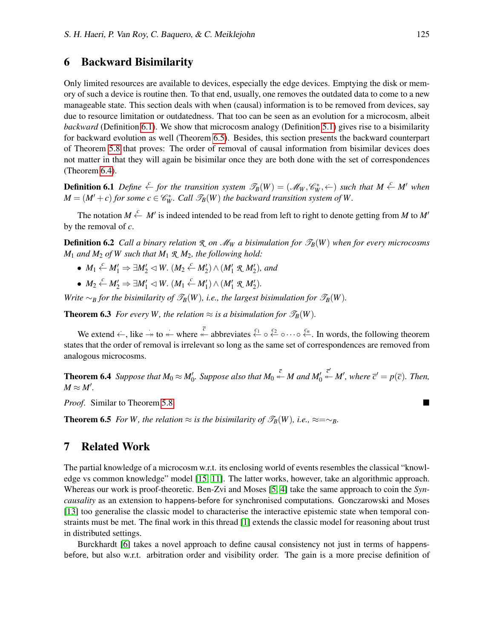## 6 Backward Bisimilarity

Only limited resources are available to devices, especially the edge devices. Emptying the disk or memory of such a device is routine then. To that end, usually, one removes the outdated data to come to a new manageable state. This section deals with when (causal) information is to be removed from devices, say due to resource limitation or outdatedness. That too can be seen as an evolution for a microcosm, albeit *backward* (Definition [6.1\)](#page-12-2). We show that microcosm analogy (Definition [5.1\)](#page-9-2) gives rise to a bisimilarity for backward evolution as well (Theorem [6.5\)](#page-12-3). Besides, this section presents the backward counterpart of Theorem [5.8](#page-11-0) that proves: The order of removal of causal information from bisimilar devices does not matter in that they will again be bisimilar once they are both done with the set of correspondences (Theorem [6.4\)](#page-12-1).

<span id="page-12-2"></span>**Definition 6.1** Define  $\stackrel{c}{\leftarrow}$  for the transition system  $\mathscr{T}_B(W) = (\mathscr{M}_W, \mathscr{C}_W^*, \leftarrow)$  such that  $M \stackrel{c}{\leftarrow} M'$  when  $M = (M' + c)$  *for some*  $c \in \mathcal{C}_W^*$ *. Call*  $\mathcal{T}_B(W)$  *the backward transition system of W.* 

The notation  $M \stackrel{c}{\leftarrow} M'$  is indeed intended to be read from left to right to denote getting from M to M' by the removal of *c*.

<span id="page-12-0"></span>**Definition 6.2** *Call a binary relation*  $\mathcal{R}$  *on*  $\mathcal{M}_W$  *a bisimulation for*  $\mathcal{P}_B(W)$  *when for every microcosms*  $M_1$  *and*  $M_2$  *of W such that*  $M_1 \mathcal{R}$ ,  $M_2$ *, the following hold:* 

- $M_1 \stackrel{c}{\leftarrow} M_1' \Rightarrow \exists M_2' \triangleleft W$ .  $(M_2 \stackrel{c}{\leftarrow} M_2') \wedge (M_1' \mathcal{R} M_2'),$  and
- $M_2 \stackrel{c}{\leftarrow} M'_2 \Rightarrow \exists M'_1 \triangleleft W$ .  $(M_1 \stackrel{c}{\leftarrow} M'_1) \wedge (M'_1 \mathcal{R} M'_2)$ .

*Write*  $\sim_B$  *for the bisimilarity of*  $\mathcal{T}_B(W)$ *, i.e., the largest bisimulation for*  $\mathcal{T}_B(W)$ *.* 

**Theorem 6.3** *For every W, the relation*  $\approx$  *is a bisimulation for*  $\mathcal{T}_B(W)$ *.* 

We extend  $\leftarrow$ , like  $\rightarrow$  to  $\leftarrow$  where  $\leftarrow$  abbreviates  $\leftarrow$   $\circ$   $\leftarrow$   $\circ$   $\leftarrow$   $\circ$   $\leftarrow$ . In words, the following theorem states that the order of removal is irrelevant so long as the same set of correspondences are removed from analogous microcosms.

<span id="page-12-1"></span>**Theorem 6.4** Suppose that  $M_0 \approx M'_0$ . Suppose also that  $M_0 \stackrel{\overline{c}}{\leftarrow} M$  and  $M'_0$  $\overline{c}^{\prime}$  *M'*, where  $\overline{c}^{\prime} = p(\overline{c})$ *. Then,*  $M \approx M'.$ 

<span id="page-12-3"></span>*Proof*. Similar to Theorem [5.8.](#page-11-0)

**Theorem 6.5** *For W, the relation* ≈ *is the bisimilarity of*  $\mathcal{T}_B(W)$ *, i.e.,* ≈=∼*B.* 

## 7 Related Work

The partial knowledge of a microcosm w.r.t. its enclosing world of events resembles the classical "knowledge vs common knowledge" model [\[15,](#page-14-11) [11\]](#page-14-12). The latter works, however, take an algorithmic approach. Whereas our work is proof-theoretic. Ben-Zvi and Moses [\[5,](#page-14-13) [4\]](#page-14-14) take the same approach to coin the *Syncausality* as an extension to happens-before for synchronised computations. Gonczarowski and Moses [\[13\]](#page-14-15) too generalise the classic model to characterise the interactive epistemic state when temporal constraints must be met. The final work in this thread [\[1\]](#page-14-16) extends the classic model for reasoning about trust in distributed settings.

Burckhardt [\[6\]](#page-14-17) takes a novel approach to define causal consistency not just in terms of happensbefore, but also w.r.t. arbitration order and visibility order. The gain is a more precise definition of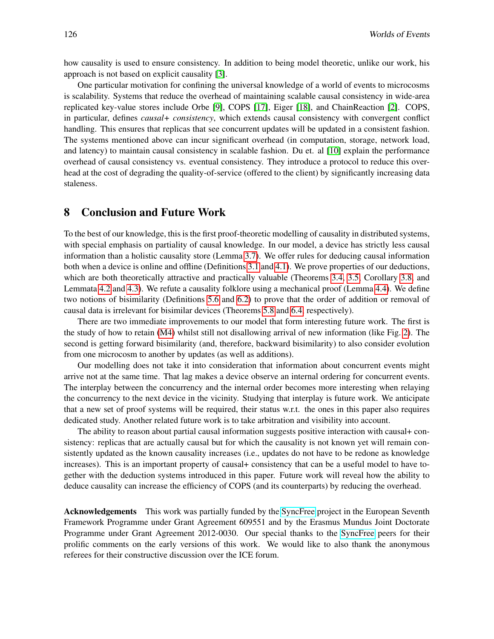how causality is used to ensure consistency. In addition to being model theoretic, unlike our work, his approach is not based on explicit causality [\[3\]](#page-14-18).

One particular motivation for confining the universal knowledge of a world of events to microcosms is scalability. Systems that reduce the overhead of maintaining scalable causal consistency in wide-area replicated key-value stores include Orbe [\[9\]](#page-14-19), COPS [\[17\]](#page-14-5), Eiger [\[18\]](#page-14-20), and ChainReaction [\[2\]](#page-14-21). COPS, in particular, defines *causal+ consistency*, which extends causal consistency with convergent conflict handling. This ensures that replicas that see concurrent updates will be updated in a consistent fashion. The systems mentioned above can incur significant overhead (in computation, storage, network load, and latency) to maintain causal consistency in scalable fashion. Du et. al [\[10\]](#page-14-22) explain the performance overhead of causal consistency vs. eventual consistency. They introduce a protocol to reduce this overhead at the cost of degrading the quality-of-service (offered to the client) by significantly increasing data staleness.

## 8 Conclusion and Future Work

To the best of our knowledge, this is the first proof-theoretic modelling of causality in distributed systems, with special emphasis on partiality of causal knowledge. In our model, a device has strictly less causal information than a holistic causality store (Lemma [3.7\)](#page-7-0). We offer rules for deducing causal information both when a device is online and offline (Definitions [3.1](#page-4-0) and [4.1\)](#page-8-0). We prove properties of our deductions, which are both theoretically attractive and practically valuable (Theorems [3.4,](#page-6-0) [3.5,](#page-6-1) Corollary [3.8,](#page-7-1) and Lemmata [4.2](#page-8-1) and [4.3\)](#page-9-0). We refute a causality folklore using a mechanical proof (Lemma [4.4\)](#page-9-1). We define two notions of bisimilarity (Definitions [5.6](#page-10-0) and [6.2\)](#page-12-0) to prove that the order of addition or removal of causal data is irrelevant for bisimilar devices (Theorems [5.8](#page-11-0) and [6.4,](#page-12-1) respectively).

There are two immediate improvements to our model that form interesting future work. The first is the study of how to retain [\(M4\)](#page-2-5) whilst still not disallowing arrival of new information (like Fig. [2\)](#page-4-2). The second is getting forward bisimilarity (and, therefore, backward bisimilarity) to also consider evolution from one microcosm to another by updates (as well as additions).

Our modelling does not take it into consideration that information about concurrent events might arrive not at the same time. That lag makes a device observe an internal ordering for concurrent events. The interplay between the concurrency and the internal order becomes more interesting when relaying the concurrency to the next device in the vicinity. Studying that interplay is future work. We anticipate that a new set of proof systems will be required, their status w.r.t. the ones in this paper also requires dedicated study. Another related future work is to take arbitration and visibility into account.

The ability to reason about partial causal information suggests positive interaction with causal+ consistency: replicas that are actually causal but for which the causality is not known yet will remain consistently updated as the known causality increases (i.e., updates do not have to be redone as knowledge increases). This is an important property of causal+ consistency that can be a useful model to have together with the deduction systems introduced in this paper. Future work will reveal how the ability to deduce causality can increase the efficiency of COPS (and its counterparts) by reducing the overhead.

Acknowledgements This work was partially funded by the [SyncFree](syncfree.lip6.fr) project in the European Seventh Framework Programme under Grant Agreement 609551 and by the Erasmus Mundus Joint Doctorate Programme under Grant Agreement 2012-0030. Our special thanks to the [SyncFree](syncfree.lip6.fr) peers for their prolific comments on the early versions of this work. We would like to also thank the anonymous referees for their constructive discussion over the ICE forum.